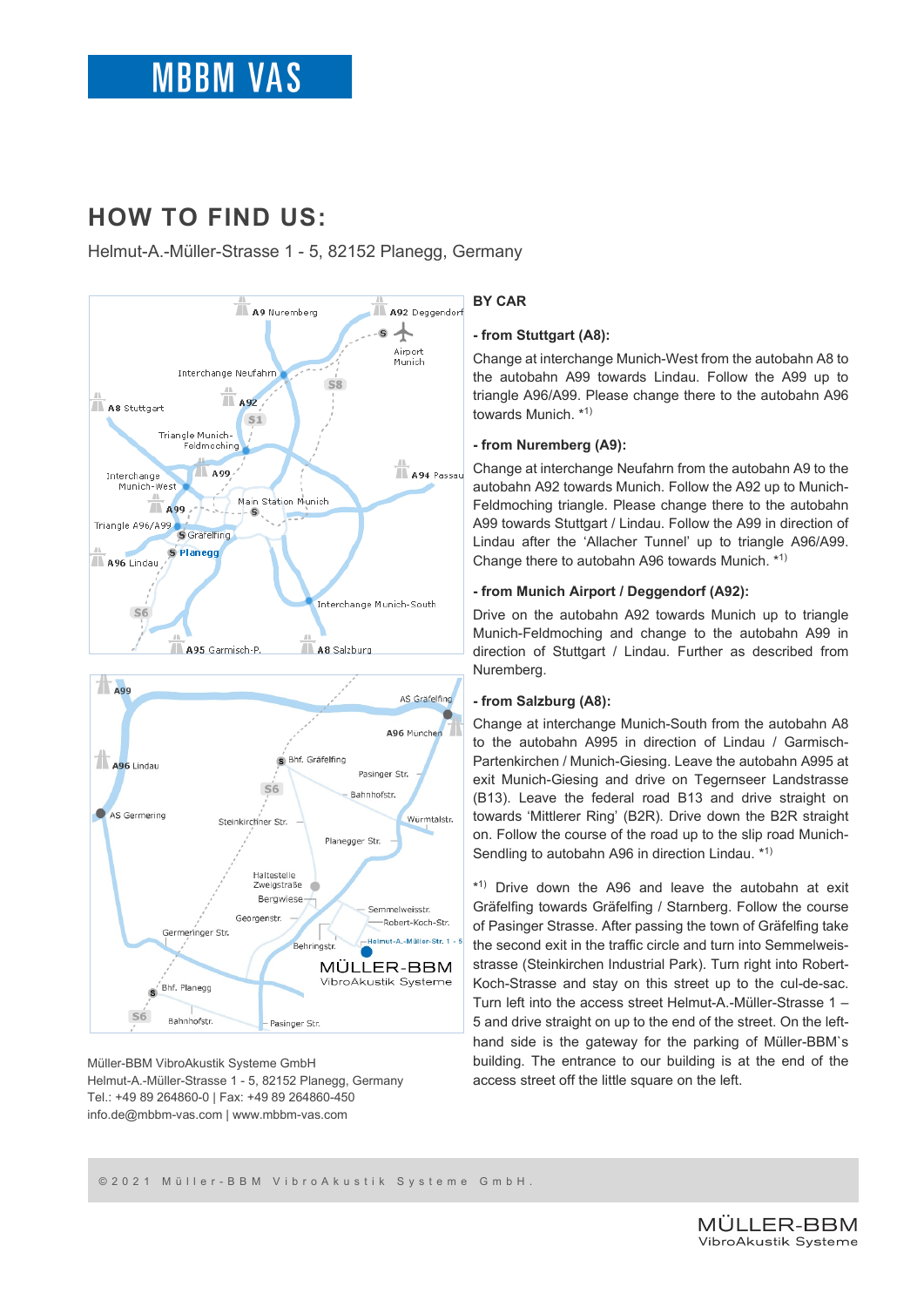# **HOW TO FIND US:**

Helmut-A.-Müller-Strasse 1 - 5, 82152 Planegg, Germany





Müller-BBM VibroAkustik Systeme GmbH Helmut-A.-Müller-Strasse 1 - 5, 82152 Planegg, Germany Tel.: +49 89 264860-0 | Fax: +49 89 264860-450 info.de@mbbm-vas.com | www.mbbm-vas.com

# **BY CAR**

## **- from Stuttgart (A8):**

Change at interchange Munich-West from the autobahn A8 to the autobahn A99 towards Lindau. Follow the A99 up to triangle A96/A99. Please change there to the autobahn A96 towards Munich. \*1)

# **- from Nuremberg (A9):**

Change at interchange Neufahrn from the autobahn A9 to the autobahn A92 towards Munich. Follow the A92 up to Munich-Feldmoching triangle. Please change there to the autobahn A99 towards Stuttgart / Lindau. Follow the A99 in direction of Lindau after the 'Allacher Tunnel' up to triangle A96/A99. Change there to autobahn A96 towards Munich. \*1)

## **- from Munich Airport / Deggendorf (A92):**

Drive on the autobahn A92 towards Munich up to triangle Munich-Feldmoching and change to the autobahn A99 in direction of Stuttgart / Lindau. Further as described from Nuremberg.

# **- from Salzburg (A8):**

Change at interchange Munich-South from the autobahn A8 to the autobahn A995 in direction of Lindau / Garmisch-Partenkirchen / Munich-Giesing. Leave the autobahn A995 at exit Munich-Giesing and drive on Tegernseer Landstrasse (B13). Leave the federal road B13 and drive straight on towards 'Mittlerer Ring' (B2R). Drive down the B2R straight on. Follow the course of the road up to the slip road Munich-Sendling to autobahn A96 in direction Lindau. \*1)

\*1). Drive down the A96 and leave the autobahn at exit Gräfelfing towards Gräfelfing / Starnberg. Follow the course of Pasinger Strasse. After passing the town of Gräfelfing take the second exit in the traffic circle and turn into Semmelweisstrasse (Steinkirchen Industrial Park). Turn right into Robert-Koch-Strasse and stay on this street up to the cul-de-sac. Turn left into the access street Helmut-A.-Müller-Strasse 1 – 5 and drive straight on up to the end of the street. On the lefthand side is the gateway for the parking of Müller-BBM`s building. The entrance to our building is at the end of the access street off the little square on the left.